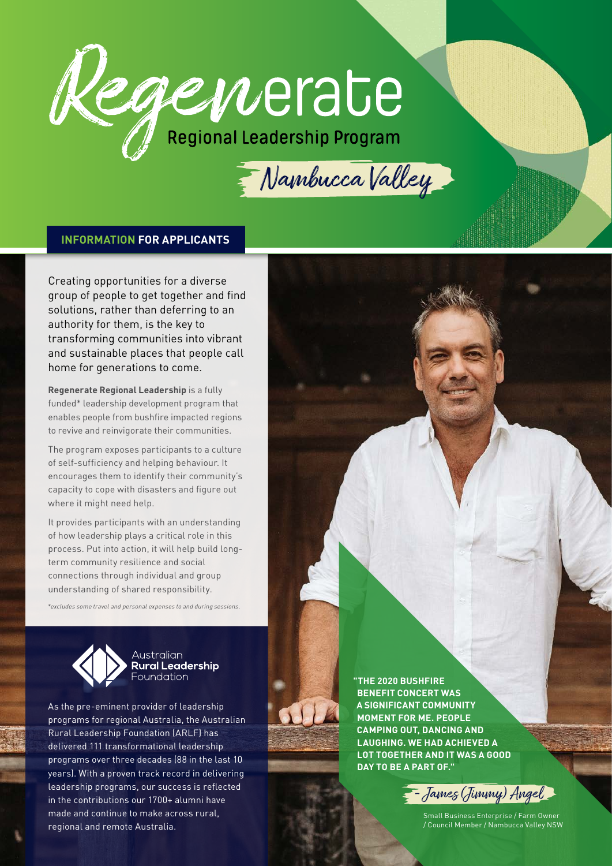

Mambucca Valley

#### **INFORMATION FOR APPLICANTS**

Creating opportunities for a diverse group of people to get together and find solutions, rather than deferring to an authority for them, is the key to transforming communities into vibrant and sustainable places that people call home for generations to come.

**Regenerate Regional Leadership** is a fully funded\* leadership development program that enables people from bushfire impacted regions to revive and reinvigorate their communities.

The program exposes participants to a culture of self-sufficiency and helping behaviour. It encourages them to identify their community's capacity to cope with disasters and figure out where it might need help.

It provides participants with an understanding of how leadership plays a critical role in this process. Put into action, it will help build longterm community resilience and social connections through individual and group understanding of shared responsibility.

*\*excludes some travel and personal expenses to and during sessions.*



**Australian Rural Leadership** Foundation

As the pre-eminent provider of leadership programs for regional Australia, the Australian Rural Leadership Foundation (ARLF) has delivered 111 transformational leadership programs over three decades (88 in the last 10 years). With a proven track record in delivering leadership programs, our success is reflected in the contributions our 1700+ alumni have made and continue to make across rural, regional and remote Australia.

**"THE 2020 BUSHFIRE BENEFIT CONCERT WAS A SIGNIFICANT COMMUNITY MOMENT FOR ME. PEOPLE CAMPING OUT, DANCING AND LAUGHING. WE HAD ACHIEVED A LOT TOGETHER AND IT WAS A GOOD DAY TO BE A PART OF."**



Small Business Enterprise / Farm Owner / Council Member / Nambucca Valley NSW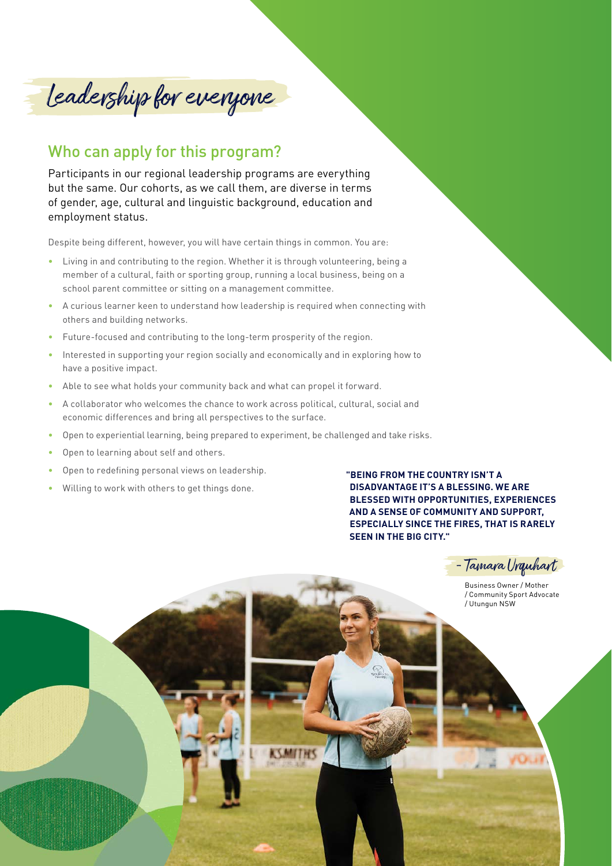Leadership for everyone

## Who can apply for this program?

Participants in our regional leadership programs are everything but the same. Our cohorts, as we call them, are diverse in terms of gender, age, cultural and linguistic background, education and employment status.

Despite being different, however, you will have certain things in common. You are:

- Living in and contributing to the region. Whether it is through volunteering, being a member of a cultural, faith or sporting group, running a local business, being on a school parent committee or sitting on a management committee.
- A curious learner keen to understand how leadership is required when connecting with others and building networks.
- Future-focused and contributing to the long-term prosperity of the region.
- Interested in supporting your region socially and economically and in exploring how to have a positive impact.
- Able to see what holds your community back and what can propel it forward.
- A collaborator who welcomes the chance to work across political, cultural, social and economic differences and bring all perspectives to the surface.
- Open to experiential learning, being prepared to experiment, be challenged and take risks.
- Open to learning about self and others.
- Open to redefining personal views on leadership.
- Willing to work with others to get things done.

**"BEING FROM THE COUNTRY ISN'T A DISADVANTAGE IT'S A BLESSING. WE ARE BLESSED WITH OPPORTUNITIES, EXPERIENCES AND A SENSE OF COMMUNITY AND SUPPORT, ESPECIALLY SINCE THE FIRES, THAT IS RARELY SEEN IN THE BIG CITY."**

- Tamara Urquhart

Business Owner / Mother / Community Sport Advocate / Utungun NSW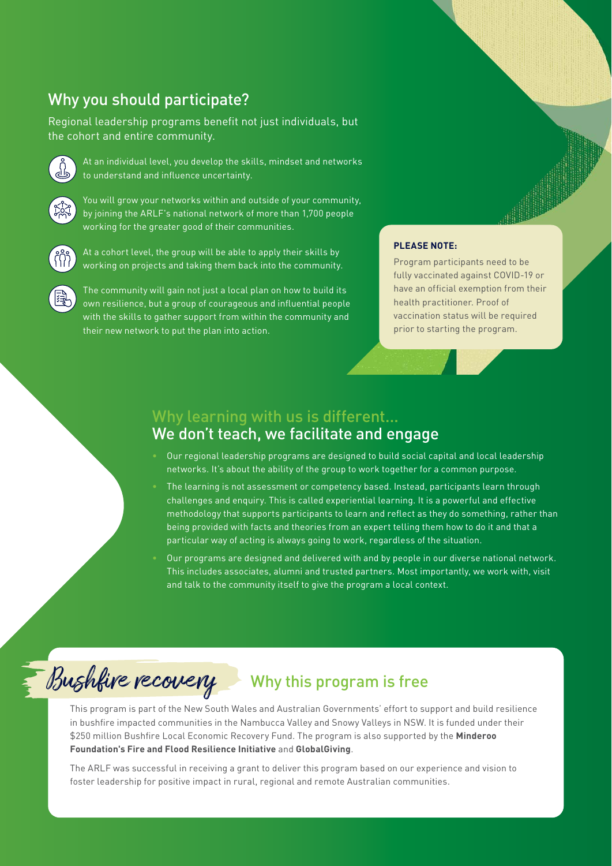## Why you should participate?

Regional leadership programs benefit not just individuals, but the cohort and entire community.



At an individual level, you develop the skills, mindset and networks to understand and influence uncertainty.



You will grow your networks within and outside of your community, by joining the ARLF's national network of more than 1,700 people working for the greater good of their communities.



At a cohort level, the group will be able to apply their skills by working on projects and taking them back into the community.

The community will gain not just a local plan on how to build its own resilience, but a group of courageous and influential people with the skills to gather support from within the community and their new network to put the plan into action.

#### **PLEASE NOTE:**

Program participants need to be fully vaccinated against COVID-19 or have an official exemption from their health practitioner. Proof of vaccination status will be required prior to starting the program.

### Why learning with us is different... We don't teach, we facilitate and engage

- Our regional leadership programs are designed to build social capital and local leadership networks. It's about the ability of the group to work together for a common purpose.
- The learning is not assessment or competency based. Instead, participants learn through challenges and enquiry. This is called experiential learning. It is a powerful and effective methodology that supports participants to learn and reflect as they do something, rather than being provided with facts and theories from an expert telling them how to do it and that a particular way of acting is always going to work, regardless of the situation.
- Our programs are designed and delivered with and by people in our diverse national network. This includes associates, alumni and trusted partners. Most importantly, we work with, visit and talk to the community itself to give the program a local context.



# Why this program is free

This program is part of the New South Wales and Australian Governments' effort to support and build resilience in bushfire impacted communities in the Nambucca Valley and Snowy Valleys in NSW. It is funded under their \$250 million Bushfire Local Economic Recovery Fund. The program is also supported by the **Minderoo Foundation's Fire and Flood Resilience Initiative** and **GlobalGiving**.

The ARLF was successful in receiving a grant to deliver this program based on our experience and vision to foster leadership for positive impact in rural, regional and remote Australian communities.